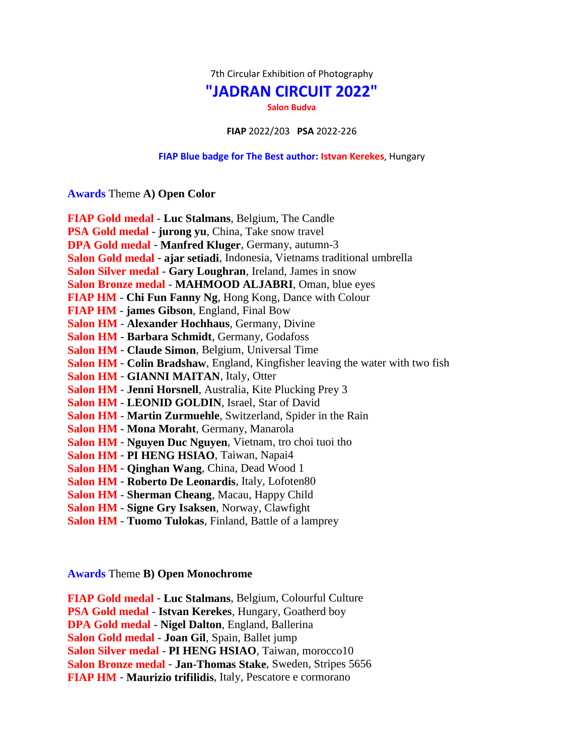7th Circular Exhibition of Photography

## **"JADRAN CIRCUIT 2022"**

**Salon Budva**

**FIAP** 2022/203 **PSA** 2022-226

## **FIAP Blue badge for The Best author: Istvan Kerekes**, Hungary

**Awards** Theme **A) Open Color**

| FIAP Gold medal - Luc Stalmans, Belgium, The Candle                                    |
|----------------------------------------------------------------------------------------|
| PSA Gold medal - jurong yu, China, Take snow travel                                    |
| DPA Gold medal - Manfred Kluger, Germany, autumn-3                                     |
| Salon Gold medal - ajar setiadi, Indonesia, Vietnams traditional umbrella              |
| Salon Silver medal - Gary Loughran, Ireland, James in snow                             |
| Salon Bronze medal - MAHMOOD ALJABRI, Oman, blue eyes                                  |
| FIAP HM - Chi Fun Fanny Ng, Hong Kong, Dance with Colour                               |
| <b>FIAP HM</b> - james Gibson, England, Final Bow                                      |
| Salon HM - Alexander Hochhaus, Germany, Divine                                         |
| Salon HM - Barbara Schmidt, Germany, Godafoss                                          |
| <b>Salon HM - Claude Simon, Belgium, Universal Time</b>                                |
| <b>Salon HM - Colin Bradshaw</b> , England, Kingfisher leaving the water with two fish |
| <b>Salon HM - GIANNI MAITAN, Italy, Otter</b>                                          |
| Salon HM - Jenni Horsnell, Australia, Kite Plucking Prey 3                             |
| Salon HM - LEONID GOLDIN, Israel, Star of David                                        |
| Salon HM - Martin Zurmuehle, Switzerland, Spider in the Rain                           |
| Salon HM - Mona Moraht, Germany, Manarola                                              |
| Salon HM - Nguyen Duc Nguyen, Vietnam, tro choi tuoi tho                               |
| Salon HM - PI HENG HSIAO, Taiwan, Napai4                                               |
| Salon HM - Qinghan Wang, China, Dead Wood 1                                            |
| Salon HM - Roberto De Leonardis, Italy, Lofoten80                                      |
| Salon HM - Sherman Cheang, Macau, Happy Child                                          |
| Salon HM - Signe Gry Isaksen, Norway, Clawfight                                        |
| <b>Salon HM - Tuomo Tulokas, Finland, Battle of a lamprey</b>                          |

**Awards** Theme **B) Open Monochrome**

**FIAP Gold medal** - **Luc Stalmans**, Belgium, Colourful Culture **PSA Gold medal** - **Istvan Kerekes**, Hungary, Goatherd boy **DPA Gold medal** - **Nigel Dalton**, England, Ballerina **Salon Gold medal** - **Joan Gil**, Spain, Ballet jump **Salon Silver medal** - **PI HENG HSIAO**, Taiwan, morocco10 **Salon Bronze medal** - **Jan-Thomas Stake**, Sweden, Stripes 5656 **FIAP HM** - **Maurizio trifilidis**, Italy, Pescatore e cormorano